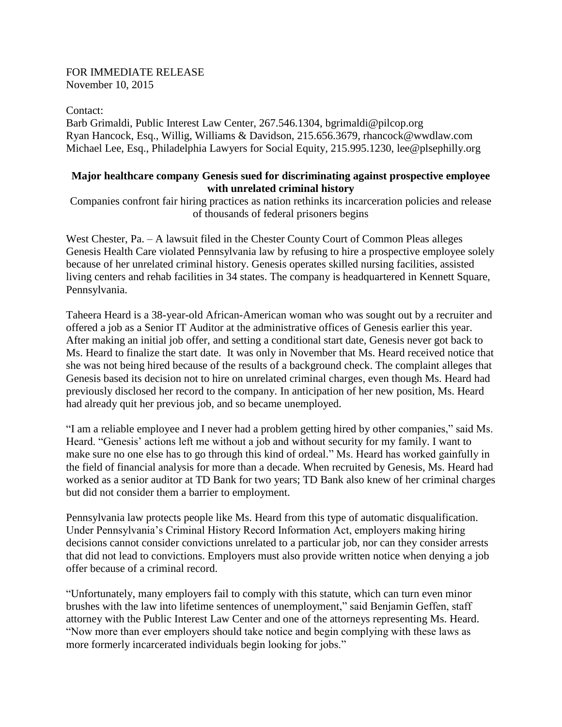## FOR IMMEDIATE RELEASE November 10, 2015

Contact:

Barb Grimaldi, Public Interest Law Center, 267.546.1304, bgrimaldi@pilcop.org Ryan Hancock, Esq., Willig, Williams & Davidson, 215.656.3679, rhancock@wwdlaw.com Michael Lee, Esq., Philadelphia Lawyers for Social Equity, 215.995.1230, lee@plsephilly.org

# **Major healthcare company Genesis sued for discriminating against prospective employee with unrelated criminal history**

Companies confront fair hiring practices as nation rethinks its incarceration policies and release of thousands of federal prisoners begins

West Chester, Pa. – A lawsuit filed in the Chester County Court of Common Pleas alleges Genesis Health Care violated Pennsylvania law by refusing to hire a prospective employee solely because of her unrelated criminal history. Genesis operates skilled nursing facilities, assisted living centers and rehab facilities in 34 states. The company is headquartered in Kennett Square, Pennsylvania.

Taheera Heard is a 38-year-old African-American woman who was sought out by a recruiter and offered a job as a Senior IT Auditor at the administrative offices of Genesis earlier this year. After making an initial job offer, and setting a conditional start date, Genesis never got back to Ms. Heard to finalize the start date. It was only in November that Ms. Heard received notice that she was not being hired because of the results of a background check. The complaint alleges that Genesis based its decision not to hire on unrelated criminal charges, even though Ms. Heard had previously disclosed her record to the company. In anticipation of her new position, Ms. Heard had already quit her previous job, and so became unemployed.

"I am a reliable employee and I never had a problem getting hired by other companies," said Ms. Heard. "Genesis' actions left me without a job and without security for my family. I want to make sure no one else has to go through this kind of ordeal." Ms. Heard has worked gainfully in the field of financial analysis for more than a decade. When recruited by Genesis, Ms. Heard had worked as a senior auditor at TD Bank for two years; TD Bank also knew of her criminal charges but did not consider them a barrier to employment.

Pennsylvania law protects people like Ms. Heard from this type of automatic disqualification. Under Pennsylvania's Criminal History Record Information Act, employers making hiring decisions cannot consider convictions unrelated to a particular job, nor can they consider arrests that did not lead to convictions. Employers must also provide written notice when denying a job offer because of a criminal record.

"Unfortunately, many employers fail to comply with this statute, which can turn even minor brushes with the law into lifetime sentences of unemployment," said Benjamin Geffen, staff attorney with the Public Interest Law Center and one of the attorneys representing Ms. Heard. "Now more than ever employers should take notice and begin complying with these laws as more formerly incarcerated individuals begin looking for jobs."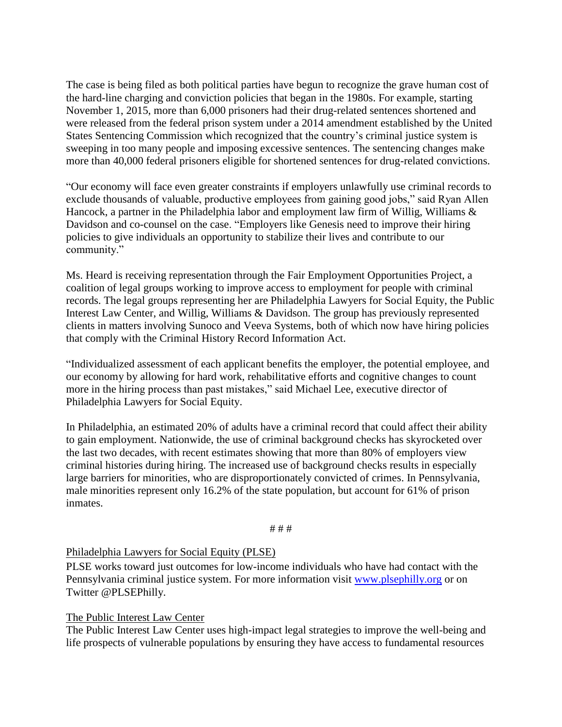The case is being filed as both political parties have begun to recognize the grave human cost of the hard-line charging and conviction policies that began in the 1980s. For example, starting November 1, 2015, more than 6,000 prisoners had their drug-related sentences shortened and were released from the federal prison system under a 2014 amendment established by the United States Sentencing Commission which recognized that the country's criminal justice system is sweeping in too many people and imposing excessive sentences. The sentencing changes make more than 40,000 federal prisoners eligible for shortened sentences for drug-related convictions.

"Our economy will face even greater constraints if employers unlawfully use criminal records to exclude thousands of valuable, productive employees from gaining good jobs," said Ryan Allen Hancock, a partner in the Philadelphia labor and employment law firm of Willig, Williams & Davidson and co-counsel on the case. "Employers like Genesis need to improve their hiring policies to give individuals an opportunity to stabilize their lives and contribute to our community."

Ms. Heard is receiving representation through the Fair Employment Opportunities Project, a coalition of legal groups working to improve access to employment for people with criminal records. The legal groups representing her are Philadelphia Lawyers for Social Equity, the Public Interest Law Center, and Willig, Williams & Davidson. The group has previously represented clients in matters involving Sunoco and Veeva Systems, both of which now have hiring policies that comply with the Criminal History Record Information Act.

"Individualized assessment of each applicant benefits the employer, the potential employee, and our economy by allowing for hard work, rehabilitative efforts and cognitive changes to count more in the hiring process than past mistakes," said Michael Lee, executive director of Philadelphia Lawyers for Social Equity.

In Philadelphia, an estimated 20% of adults have a criminal record that could affect their ability to gain employment. Nationwide, the use of criminal background checks has skyrocketed over the last two decades, with recent estimates showing that more than 80% of employers view criminal histories during hiring. The increased use of background checks results in especially large barriers for minorities, who are disproportionately convicted of crimes. In Pennsylvania, male minorities represent only 16.2% of the state population, but account for 61% of prison inmates.

### # # #

### Philadelphia Lawyers for Social Equity (PLSE)

PLSE works toward just outcomes for low-income individuals who have had contact with the Pennsylvania criminal justice system. For more information visit [www.plsephilly.org](http://www.plsephilly.org/) or on Twitter @PLSEPhilly.

### The Public Interest Law Center

The Public Interest Law Center uses high-impact legal strategies to improve the well-being and life prospects of vulnerable populations by ensuring they have access to fundamental resources